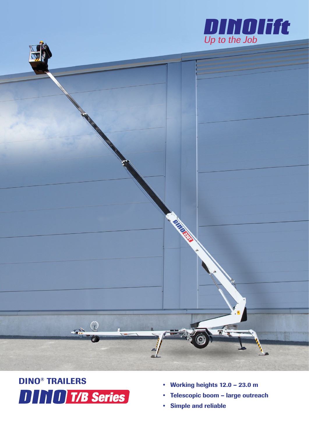



# DINO® TRAILERS **DITIO T/B Series**

- Working heights 12.0 23.0 m
- Telescopic boom large outreach
- Simple and reliable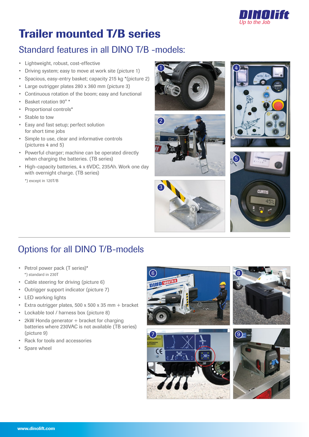

## Trailer mounted T/B series

### Standard features in all DINO T/B -models:

- Lightweight, robust, cost-effective
- Driving system; easy to move at work site (picture 1)
- Spacious, easy-entry basket; capacity 215 kg \*(picture 2)
- Large outrigger plates 280 x 360 mm (picture 3)
- Continuous rotation of the boom; easy and functional
- Basket rotation 90° \*
- Proportional controls\*
- Stable to tow
- Easy and fast setup; perfect solution for short time jobs
- Simple to use, clear and informative controls (pictures 4 and 5)
- Powerful charger; machine can be operated directly when charging the batteries. (TB series)
- High-capacity batteries, 4 x 6VDC, 235Ah. Work one day with overnight charge. (TB series)

\*) except in 120T/B











### Options for all DINO T/B-models

- Petrol power pack (T series)\* \*) standard in 230T
- Cable steering for driving (picture 6)
- Outrigger support indicator (picture 7)
- LED working lights
- Extra outrigger plates, 500 x 500 x 35 mm + bracket
- Lockable tool / harness box (picture 8)
- 2kW Honda generator + bracket for charging batteries where 230VAC is not available (TB series) (picture 9)
- Rack for tools and accessories
- Spare wheel







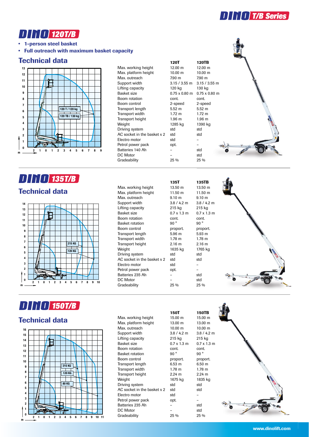



• 1-person steel basket

• Full outreach with maximum basket capacity

#### Technical data



#### **DININ 135T/B** Technical data



### **DITIO 150T/B**

#### Technical data



Max. working height 15.00 m 15.00 m Max. platform height 13.00 m 13.00 m Max. outreach 10.00 m 10.00 m Support width 3.8 / 4.2 m 3.8 / 4.2 m<br>
Lifting capacity 215 kg 3.8 / 4.2 m Lifting capacity **215 kg** 215 kg Basket size 0.7 x 1.3 m 0.7 x 1.3 m Boom rotation cont. Basket rotation 90 ° Boom control **proport** proport. Proport. Transport length 6.53 m 6.50 m Transport width 1.78 m 1.78 m Transport height 2.24 m 2.24 m Weight 1675 kg 1835 kg<br>Driving system std std Driving system AC socket in the basket  $x 2$  std Electro motor by std Petrol power pack opt. Batteries 235 Ah – DC Motor – std **Gradeability** 

| 150T                       | <b>150TB</b>      |
|----------------------------|-------------------|
| 15.00 m                    | $15.00 \text{ m}$ |
| 13.00 m                    | 13.00 m           |
| 10.00 m                    | $10.00 \text{ m}$ |
| $3.8 / 4.2$ m              | 3.8/4.2           |
| 215 kg                     | 215 kg            |
| $0.7 \times 1.3 \text{ m}$ | $0.7 \times 1.3$  |
| cont.                      | cont.             |
| 90°                        | 90°               |
| proport.                   | proport           |
| 6.53 m                     | 6.50 m            |
| 1.78 <sub>m</sub>          | $1.78 \text{ m}$  |
| 2.24 m                     | $2.24 \text{ m}$  |
| 1675 kg                    | 1835 kg           |
| std                        | std               |
| std                        | std               |
| std                        | $\overline{a}$    |
| opt.                       |                   |
|                            | std               |
|                            | <b>etd</b>        |





| 135T                       | 135TB             |
|----------------------------|-------------------|
| 13.50 m                    | 13.50 m           |
| $11.50 \text{ m}$          | 11.50 m           |
| 9.10 <sub>m</sub>          | $9.10 \;{\rm m}$  |
| $3.8 / 4.2$ m              | 3.8/4.2           |
| 215 kg                     | 215 kg            |
| $0.7 \times 1.3 \text{ m}$ | $0.7 \times 1.3$  |
| cont.                      | cont.             |
| 90 $^{\circ}$              | 90°               |
| proport.                   | proport.          |
| 5.96 m                     | 5.93 m            |
| 1.78 m                     | $1.78 \text{ m}$  |
| 2.16 <sub>m</sub>          | 2.16 <sub>m</sub> |
| 1635 kg                    | 1765 kg           |
| std                        | std               |
| std                        | std               |
| std                        |                   |
| opt.                       |                   |
|                            | std               |
|                            | std               |
| 25 %                       | 25 %              |
|                            |                   |



**120T 120TB**<br>12.00 m 12.00 m

 $0.75 \times 0.80$  m

Max. platform height 10.00 m 10.00 m<br>Max. outreach 10.00 m 10.00 m

Support width 3.15 / 3.55 m 3.15 / 3.55 m 3.15 m

Boom rotation cont. cont.

Transport length 5.52 m 5.52 m

Transport height 1.96 m 1.96 m

Driving system std std<br>AC socket in the basket x 2 std std

Petrol power pack opt. The set of the set of the set of the set of the set of the set of the set of the set of<br>Batteries 140 Ah and the set of the set of the set of the set of the set of the set of the set of the set of t

DC Motor – std Gradeability 25 % 25 %

Max. working height

Transport width

AC socket in the basket  $x$  2 Electro motor by std

Batteries 140 Ah –